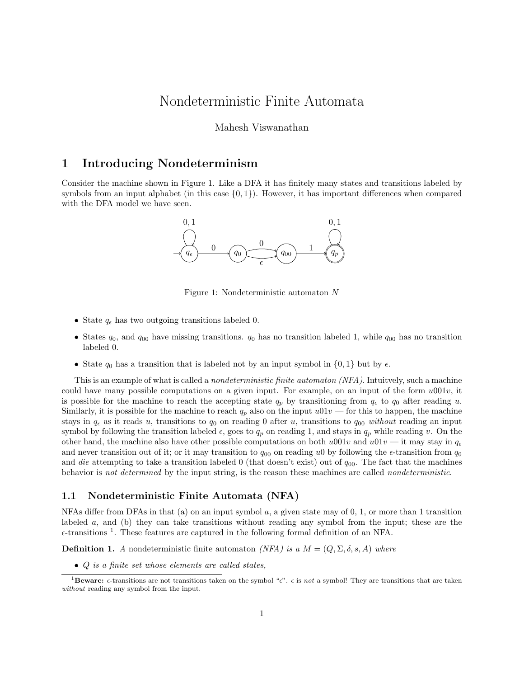# Nondeterministic Finite Automata

#### Mahesh Viswanathan

### 1 Introducing Nondeterminism

Consider the machine shown in Figure 1. Like a DFA it has finitely many states and transitions labeled by symbols from an input alphabet (in this case  $\{0,1\}$ ). However, it has important differences when compared with the DFA model we have seen.



Figure 1: Nondeterministic automaton N

- State  $q_{\epsilon}$  has two outgoing transitions labeled 0.
- States  $q_0$ , and  $q_{00}$  have missing transitions.  $q_0$  has no transition labeled 1, while  $q_{00}$  has no transition labeled 0.
- State  $q_0$  has a transition that is labeled not by an input symbol in  $\{0, 1\}$  but by  $\epsilon$ .

This is an example of what is called a *nondeterministic finite automaton (NFA)*. Intuitvely, such a machine could have many possible computations on a given input. For example, on an input of the form  $u001v$ , it is possible for the machine to reach the accepting state  $q_p$  by transitioning from  $q_\epsilon$  to  $q_0$  after reading u. Similarly, it is possible for the machine to reach  $q_p$  also on the input  $u01v$  — for this to happen, the machine stays in  $q_{\epsilon}$  as it reads u, transitions to  $q_0$  on reading 0 after u, transitions to  $q_{00}$  without reading an input symbol by following the transition labeled  $\epsilon$ , goes to  $q_p$  on reading 1, and stays in  $q_p$  while reading v. On the other hand, the machine also have other possible computations on both  $u001v$  and  $u01v$  — it may stay in  $q_e$ and never transition out of it; or it may transition to  $q_{00}$  on reading u0 by following the  $\epsilon$ -transition from  $q_0$ and die attempting to take a transition labeled 0 (that doesn't exist) out of  $q_{00}$ . The fact that the machines behavior is not determined by the input string, is the reason these machines are called nondeterministic.

#### 1.1 Nondeterministic Finite Automata (NFA)

NFAs differ from DFAs in that (a) on an input symbol  $a$ , a given state may of 0, 1, or more than 1 transition labeled a, and (b) they can take transitions without reading any symbol from the input; these are the  $\epsilon$ -transitions<sup>1</sup>. These features are captured in the following formal definition of an NFA.

**Definition 1.** A nondeterministic finite automaton (NFA) is a  $M = (Q, \Sigma, \delta, s, A)$  where

• Q is a finite set whose elements are called states,

**<sup>1</sup>Beware:**  $\epsilon$ -transitions are not transitions taken on the symbol " $\epsilon$ ".  $\epsilon$  is not a symbol! They are transitions that are taken without reading any symbol from the input.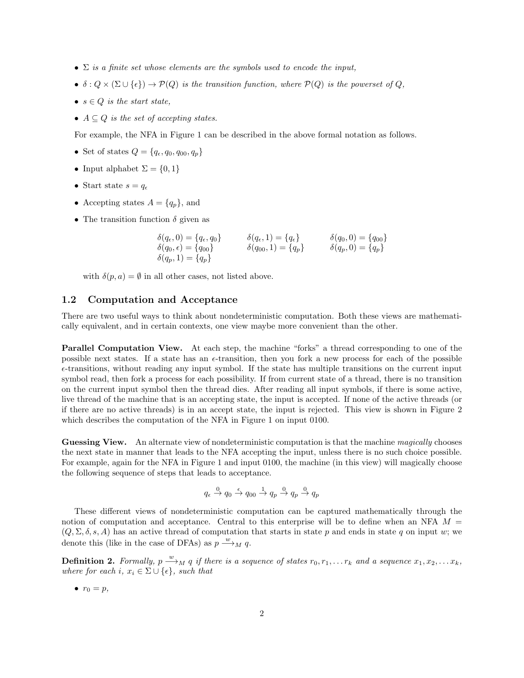- $\Sigma$  is a finite set whose elements are the symbols used to encode the input,
- $\delta: Q \times (\Sigma \cup \{\epsilon\}) \to \mathcal{P}(Q)$  is the transition function, where  $\mathcal{P}(Q)$  is the powerset of Q,
- $s \in Q$  is the start state,
- $A \subseteq Q$  is the set of accepting states.

For example, the NFA in Figure 1 can be described in the above formal notation as follows.

- Set of states  $Q = \{q_{\epsilon}, q_0, q_{00}, q_p\}$
- Input alphabet  $\Sigma = \{0, 1\}$
- Start state  $s = q_e$
- Accepting states  $A = \{q_p\}$ , and
- The transition function  $\delta$  given as

$$
\begin{aligned}\n\delta(q_{\epsilon},0) &= \{q_{\epsilon},q_{0}\} & \delta(q_{\epsilon},1) &= \{q_{\epsilon}\} & \delta(q_{0},0) &= \{q_{00}\} \\
\delta(q_{0},\epsilon) &= \{q_{00}\} & \delta(q_{00},1) &= \{q_{p}\} & \delta(q_{p},0) &= \{q_{p}\} \\
\delta(q_{p},1) &= \{q_{p}\}\n\end{aligned}
$$

with  $\delta(p, a) = \emptyset$  in all other cases, not listed above.

#### 1.2 Computation and Acceptance

There are two useful ways to think about nondeterministic computation. Both these views are mathematically equivalent, and in certain contexts, one view maybe more convenient than the other.

Parallel Computation View. At each step, the machine "forks" a thread corresponding to one of the possible next states. If a state has an  $\epsilon$ -transition, then you fork a new process for each of the possible  $\epsilon$ -transitions, without reading any input symbol. If the state has multiple transitions on the current input symbol read, then fork a process for each possibility. If from current state of a thread, there is no transition on the current input symbol then the thread dies. After reading all input symbols, if there is some active, live thread of the machine that is an accepting state, the input is accepted. If none of the active threads (or if there are no active threads) is in an accept state, the input is rejected. This view is shown in Figure 2 which describes the computation of the NFA in Figure 1 on input 0100.

Guessing View. An alternate view of nondeterministic computation is that the machine magically chooses the next state in manner that leads to the NFA accepting the input, unless there is no such choice possible. For example, again for the NFA in Figure 1 and input 0100, the machine (in this view) will magically choose the following sequence of steps that leads to acceptance.

$$
q_\epsilon \stackrel{0}{\rightarrow} q_0 \stackrel{\epsilon}{\rightarrow} q_{00} \stackrel{1}{\rightarrow} q_p \stackrel{0}{\rightarrow} q_p \stackrel{0}{\rightarrow} q_p
$$

These different views of nondeterministic computation can be captured mathematically through the notion of computation and acceptance. Central to this enterprise will be to define when an NFA  $M =$  $(Q, \Sigma, \delta, s, A)$  has an active thread of computation that starts in state p and ends in state q on input w; we denote this (like in the case of DFAs) as  $p \stackrel{w}{\longrightarrow}_M q$ .

**Definition 2.** Formally,  $p \stackrel{w}{\longrightarrow}_M q$  if there is a sequence of states  $r_0, r_1, \ldots r_k$  and a sequence  $x_1, x_2, \ldots x_k$ , where for each i,  $x_i \in \Sigma \cup \{\epsilon\}$ , such that

$$
\bullet \ \ r_0 = p,
$$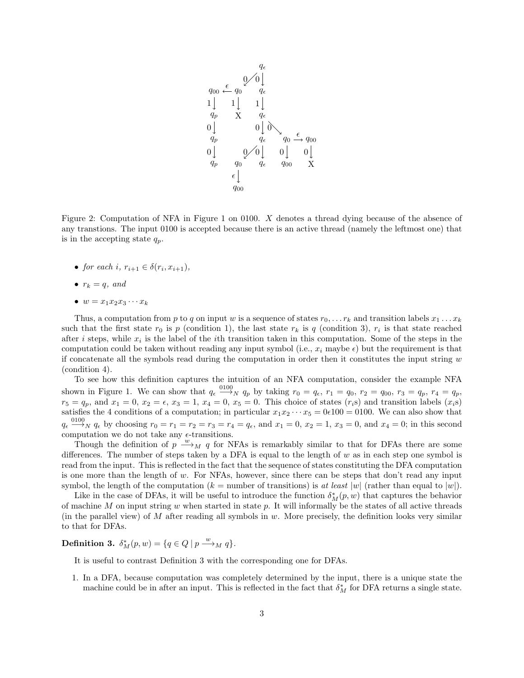

Figure 2: Computation of NFA in Figure 1 on 0100. X denotes a thread dying because of the absence of any transtions. The input 0100 is accepted because there is an active thread (namely the leftmost one) that is in the accepting state  $q_p$ .

- for each i,  $r_{i+1} \in \delta(r_i, x_{i+1}),$
- $r_k = q$ , and
- $w = x_1x_2x_3\cdots x_k$

Thus, a computation from p to q on input w is a sequence of states  $r_0, \ldots r_k$  and transition labels  $x_1 \ldots x_k$ such that the first state  $r_0$  is p (condition 1), the last state  $r_k$  is q (condition 3),  $r_i$  is that state reached after i steps, while  $x_i$  is the label of the ith transition taken in this computation. Some of the steps in the computation could be taken without reading any input symbol (i.e.,  $x_i$  maybe  $\epsilon$ ) but the requirement is that if concatenate all the symbols read during the computation in order then it constitutes the input string  $w$ (condition 4).

To see how this definition captures the intuition of an NFA computation, consider the example NFA shown in Figure 1. We can show that  $q_{\epsilon} \stackrel{0100}{\longrightarrow}_N q_p$  by taking  $r_0 = q_{\epsilon}$ ,  $r_1 = q_0$ ,  $r_2 = q_{00}$ ,  $r_3 = q_p$ ,  $r_4 = q_p$ ,  $r_5 = q_p$ , and  $x_1 = 0$ ,  $x_2 = \epsilon$ ,  $x_3 = 1$ ,  $x_4 = 0$ ,  $x_5 = 0$ . This choice of states  $(r_i s)$  and transition labels  $(x_i s)$ satisfies the 4 conditions of a computation; in particular  $x_1x_2 \cdots x_5 = 0 \in 100 = 0100$ . We can also show that  $q_{\epsilon} \stackrel{0100}{\longrightarrow}_N q_{\epsilon}$  by choosing  $r_0 = r_1 = r_2 = r_3 = r_4 = q_{\epsilon}$ , and  $x_1 = 0$ ,  $x_2 = 1$ ,  $x_3 = 0$ , and  $x_4 = 0$ ; in this second computation we do not take any  $\epsilon$ -transitions.

Though the definition of  $p \stackrel{w}{\longrightarrow}_M q$  for NFAs is remarkably similar to that for DFAs there are some differences. The number of steps taken by a DFA is equal to the length of  $w$  as in each step one symbol is read from the input. This is reflected in the fact that the sequence of states constituting the DFA computation is one more than the length of w. For NFAs, however, since there can be steps that don't read any input symbol, the length of the computation ( $k =$  number of transitions) is at least  $|w|$  (rather than equal to  $|w|$ ).

Like in the case of DFAs, it will be useful to introduce the function  $\delta_M^*(p, w)$  that captures the behavior of machine  $M$  on input string  $w$  when started in state  $p$ . It will informally be the states of all active threads (in the parallel view) of  $M$  after reading all symbols in  $w$ . More precisely, the definition looks very similar to that for DFAs.

**Definition 3.**  $\delta_M^*(p, w) = \{q \in Q \mid p \stackrel{w}{\longrightarrow}_M q\}.$ 

It is useful to contrast Definition 3 with the corresponding one for DFAs.

1. In a DFA, because computation was completely determined by the input, there is a unique state the machine could be in after an input. This is reflected in the fact that  $\delta_M^*$  for DFA returns a single state.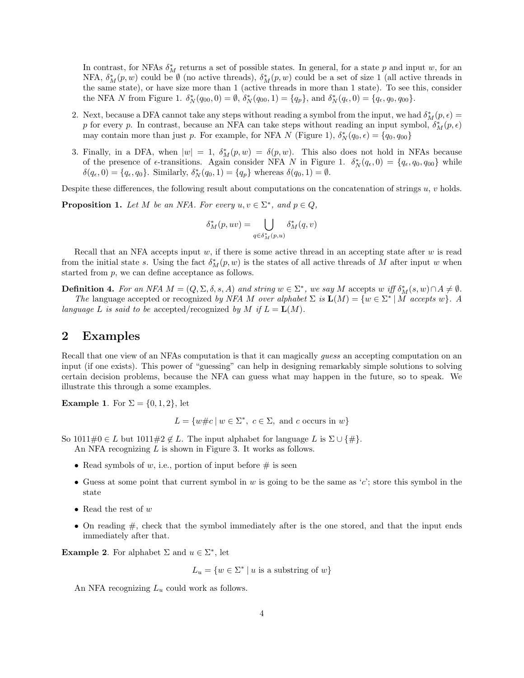In contrast, for NFAs  $\delta_M^*$  returns a set of possible states. In general, for a state p and input w, for an NFA,  $\delta_M^*(p, w)$  could be  $\emptyset$  (no active threads),  $\delta_M^*(p, w)$  could be a set of size 1 (all active threads in the same state), or have size more than 1 (active threads in more than 1 state). To see this, consider the NFA N from Figure 1.  $\delta_N^*(q_{00}, 0) = \emptyset$ ,  $\delta_N^*(q_{00}, 1) = \{q_p\}$ , and  $\delta_N^*(q_{\epsilon}, 0) = \{q_{\epsilon}, q_0, q_{00}\}.$ 

- 2. Next, because a DFA cannot take any steps without reading a symbol from the input, we had  $\delta_M^*(p, \epsilon) =$ p for every p. In contrast, because an NFA can take steps without reading an input symbol,  $\delta_M^*(p, \epsilon)$ may contain more than just p. For example, for NFA N (Figure 1),  $\delta_N^*(q_0, \epsilon) = \{q_0, q_{00}\}\$
- 3. Finally, in a DFA, when  $|w| = 1$ ,  $\delta_M^*(p, w) = \delta(p, w)$ . This also does not hold in NFAs because of the presence of  $\epsilon$ -transitions. Again consider NFA N in Figure 1.  $\delta_N^*(q_{\epsilon},0) = \{q_{\epsilon}, q_0, q_{00}\}\$  while  $\delta(q_{\epsilon}, 0) = \{q_{\epsilon}, q_0\}$ . Similarly,  $\delta_N^*(q_0, 1) = \{q_p\}$  whereas  $\delta(q_0, 1) = \emptyset$ .

Despite these differences, the following result about computations on the concatenation of strings  $u, v$  holds.

**Proposition 1.** Let M be an NFA. For every  $u, v \in \Sigma^*$ , and  $p \in Q$ ,

$$
\delta^*_M(p, uv) = \bigcup_{q \in \delta^*_M(p, u)} \delta^*_M(q, v)
$$

Recall that an NFA accepts input w, if there is some active thread in an accepting state after  $w$  is read from the initial state s. Using the fact  $\delta_M^*(p, w)$  is the states of all active threads of M after input w when started from p, we can define acceptance as follows.

**Definition 4.** For an NFA  $M = (Q, \Sigma, \delta, s, A)$  and string  $w \in \Sigma^*$ , we say M accepts w iff  $\delta_M^*(s, w) \cap A \neq \emptyset$ . The language accepted or recognized by NFA M over alphabet  $\Sigma$  is  $\mathbf{L}(M) = \{w \in \Sigma^* | M \text{ accepts } w\}$ . A language L is said to be accepted/recognized by M if  $L = L(M)$ .

### 2 Examples

Recall that one view of an NFAs computation is that it can magically *guess* an accepting computation on an input (if one exists). This power of "guessing" can help in designing remarkably simple solutions to solving certain decision problems, because the NFA can guess what may happen in the future, so to speak. We illustrate this through a some examples.

**Example 1.** For  $\Sigma = \{0, 1, 2\}$ , let

$$
L = \{w \# c \mid w \in \Sigma^*, \ c \in \Sigma, \text{ and } c \text{ occurs in } w\}
$$

So  $1011\#0 \in L$  but  $1011\#2 \notin L$ . The input alphabet for language L is  $\Sigma \cup {\{\#\}}$ .

An NFA recognizing L is shown in Figure 3. It works as follows.

- Read symbols of  $w$ , i.e., portion of input before  $\#$  is seen
- Guess at some point that current symbol in w is going to be the same as  $c'$ ; store this symbol in the state
- Read the rest of  $w$
- On reading  $\#$ , check that the symbol immediately after is the one stored, and that the input ends immediately after that.

**Example 2.** For alphabet  $\Sigma$  and  $u \in \Sigma^*$ , let

 $L_u = \{w \in \Sigma^* \mid u \text{ is a substring of } w\}$ 

An NFA recognizing  $L_u$  could work as follows.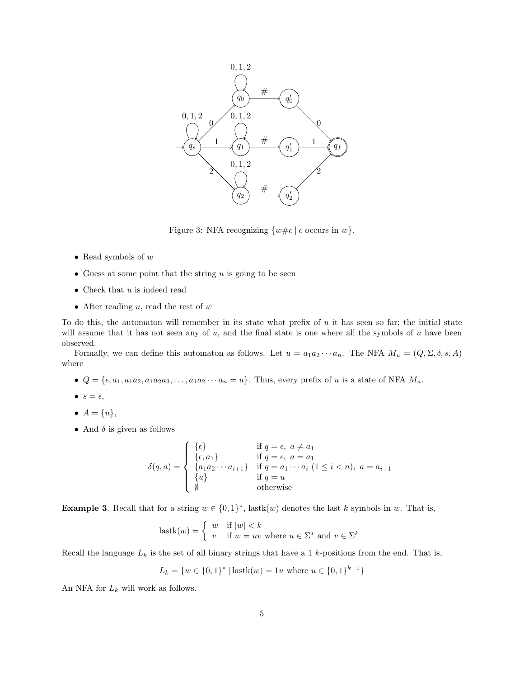

Figure 3: NFA recognizing  $\{w \# c \mid c \text{ occurs in } w\}.$ 

- Read symbols of  $w$
- Guess at some point that the string  $u$  is going to be seen
- Check that  $u$  is indeed read
- After reading  $u$ , read the rest of  $w$

To do this, the automaton will remember in its state what prefix of  $u$  it has seen so far; the initial state will assume that it has not seen any of  $u$ , and the final state is one where all the symbols of  $u$  have been observed.

Formally, we can define this automaton as follows. Let  $u = a_1 a_2 \cdots a_n$ . The NFA  $M_u = (Q, \Sigma, \delta, s, A)$ where

- $Q = \{\epsilon, a_1, a_1 a_2, a_1 a_2 a_3, \ldots, a_1 a_2 \cdots a_n = u\}.$  Thus, every prefix of u is a state of NFA  $M_u$ .
- $s = \epsilon$ ,
- $A = \{u\},\,$
- And  $\delta$  is given as follows

$$
\delta(q, a) = \begin{cases}\n\{\epsilon\} & \text{if } q = \epsilon, \ a \neq a_1 \\
\{\epsilon, a_1\} & \text{if } q = \epsilon, \ a = a_1 \\
\{a_1 a_2 \cdots a_{i+1}\} & \text{if } q = a_1 \cdots a_i \ (1 \leq i < n), \ a = a_{i+1} \\
\{u\} & \text{if } q = u \\
\emptyset & \text{otherwise}\n\end{cases}
$$

**Example 3.** Recall that for a string  $w \in \{0,1\}^*$ , lastk $(w)$  denotes the last k symbols in w. That is,

$$
lastk(w) = \begin{cases} w & \text{if } |w| < k \\ v & \text{if } w = uv \text{ where } u \in \Sigma^* \text{ and } v \in \Sigma^k \end{cases}
$$

Recall the language  $L_k$  is the set of all binary strings that have a 1 k-positions from the end. That is,

$$
L_k = \{w \in \{0, 1\}^* \mid \text{lastk}(w) = 1u \text{ where } u \in \{0, 1\}^{k-1}\}
$$

An NFA for  $L_k$  will work as follows.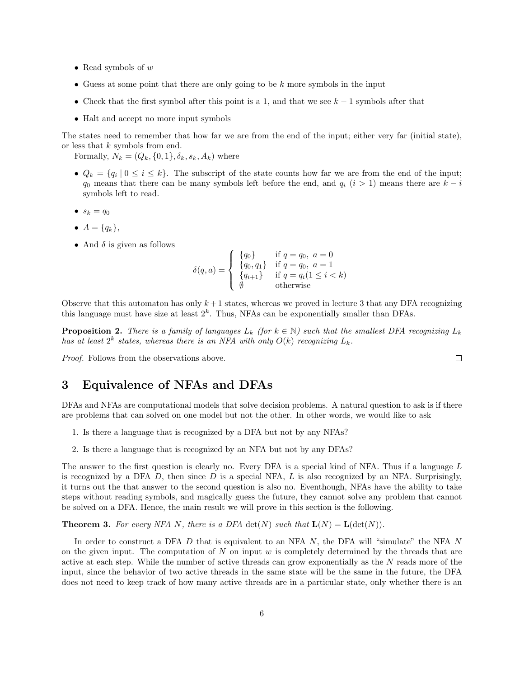- Read symbols of  $w$
- Guess at some point that there are only going to be  $k$  more symbols in the input
- Check that the first symbol after this point is a 1, and that we see  $k-1$  symbols after that
- Halt and accept no more input symbols

The states need to remember that how far we are from the end of the input; either very far (initial state), or less that  $k$  symbols from end.

Formally,  $N_k = (Q_k, \{0, 1\}, \delta_k, s_k, A_k)$  where

- $Q_k = \{q_i | 0 \leq i \leq k\}$ . The subscript of the state counts how far we are from the end of the input;  $q_0$  means that there can be many symbols left before the end, and  $q_i$  (i > 1) means there are  $k - i$ symbols left to read.
- $s_k = q_0$
- $A = \{q_k\},\,$
- And  $\delta$  is given as follows

$$
\delta(q, a) = \begin{cases}\n\{q_0\} & \text{if } q = q_0, \ a = 0 \\
\{q_0, q_1\} & \text{if } q = q_0, \ a = 1 \\
\{q_{i+1}\} & \text{if } q = q_i(1 \leq i < k) \\
\emptyset & \text{otherwise}\n\end{cases}
$$

Observe that this automaton has only  $k+1$  states, whereas we proved in lecture 3 that any DFA recognizing this language must have size at least  $2<sup>k</sup>$ . Thus, NFAs can be exponentially smaller than DFAs.

**Proposition 2.** There is a family of languages  $L_k$  (for  $k \in \mathbb{N}$ ) such that the smallest DFA recognizing  $L_k$ has at least  $2^k$  states, whereas there is an NFA with only  $O(k)$  recognizing  $L_k$ .

Proof. Follows from the observations above.

## 3 Equivalence of NFAs and DFAs

DFAs and NFAs are computational models that solve decision problems. A natural question to ask is if there are problems that can solved on one model but not the other. In other words, we would like to ask

- 1. Is there a language that is recognized by a DFA but not by any NFAs?
- 2. Is there a language that is recognized by an NFA but not by any DFAs?

The answer to the first question is clearly no. Every DFA is a special kind of NFA. Thus if a language L is recognized by a DFA  $D$ , then since  $D$  is a special NFA,  $L$  is also recognized by an NFA. Surprisingly, it turns out the that answer to the second question is also no. Eventhough, NFAs have the ability to take steps without reading symbols, and magically guess the future, they cannot solve any problem that cannot be solved on a DFA. Hence, the main result we will prove in this section is the following.

**Theorem 3.** For every NFA N, there is a DFA det(N) such that  $\mathbf{L}(N) = \mathbf{L}(\det(N)).$ 

In order to construct a DFA  $D$  that is equivalent to an NFA  $N$ , the DFA will "simulate" the NFA  $N$ on the given input. The computation of  $N$  on input  $w$  is completely determined by the threads that are active at each step. While the number of active threads can grow exponentially as the N reads more of the input, since the behavior of two active threads in the same state will be the same in the future, the DFA does not need to keep track of how many active threads are in a particular state, only whether there is an

 $\Box$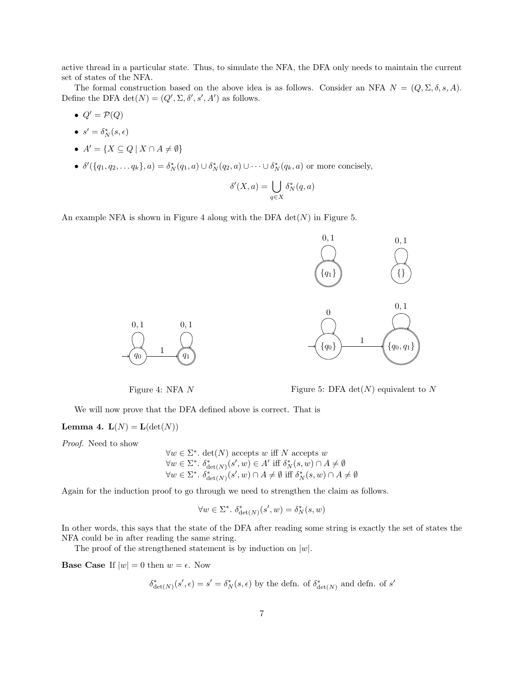active thread in a particular state. Thus, to simulate the NFA, the DFA only needs to maintain the current set of states of the NFA.

The formal construction based on the above idea is as follows. Consider an NFA  $N = (Q, \Sigma, \delta, s, A)$ . Define the DFA  $\det(N) = (Q', \Sigma, \delta', s', A')$  as follows.

- $Q' = \mathcal{P}(Q)$
- $\bullet \ \ s' = \delta_N^*(s, \epsilon)$
- $A' = \{X \subseteq Q \mid X \cap A \neq \emptyset\}$
- $\delta'(\{q_1, q_2, ..., q_k\}, a) = \delta_N^*(q_1, a) \cup \delta_N^*(q_2, a) \cup \cdots \cup \delta_N^*(q_k, a)$  or more concisely,

$$
\delta'(X,a) = \bigcup_{q \in X} \delta_N^*(q,a)
$$

An example NFA is shown in Figure 4 along with the DFA  $\det(N)$  in Figure 5.



Figure 4: NFA N



Figure 5: DFA det( $N$ ) equivalent to  $N$ 

We will now prove that the DFA defined above is correct. That is

Lemma 4.  $L(N) = L(\det(N))$ 

Proof. Need to show

$$
\forall w \in \Sigma^*. \det(N) \text{ accepts } w \text{ iff } N \text{ accepts } w
$$

$$
\forall w \in \Sigma^*. \delta^*_{\det(N)}(s', w) \in A' \text{ iff } \delta^*_N(s, w) \cap A \neq \emptyset
$$

$$
\forall w \in \Sigma^*. \delta^*_{\det(N)}(s', w) \cap A \neq \emptyset \text{ iff } \delta^*_N(s, w) \cap A \neq \emptyset
$$

Again for the induction proof to go through we need to strengthen the claim as follows.

$$
\forall w \in \Sigma^*, \ \delta^*_{\det(N)}(s', w) = \delta^*_N(s, w)
$$

In other words, this says that the state of the DFA after reading some string is exactly the set of states the NFA could be in after reading the same string.

The proof of the strengthened statement is by induction on  $|w|$ .

**Base Case** If  $|w| = 0$  then  $w = \epsilon$ . Now

$$
\delta^*_{\det(N)}(s',\epsilon)=s'=\delta^*_N(s,\epsilon)
$$
 by the defn. of  $\delta^*_{\det(N)}$  and defn. of  $s'$